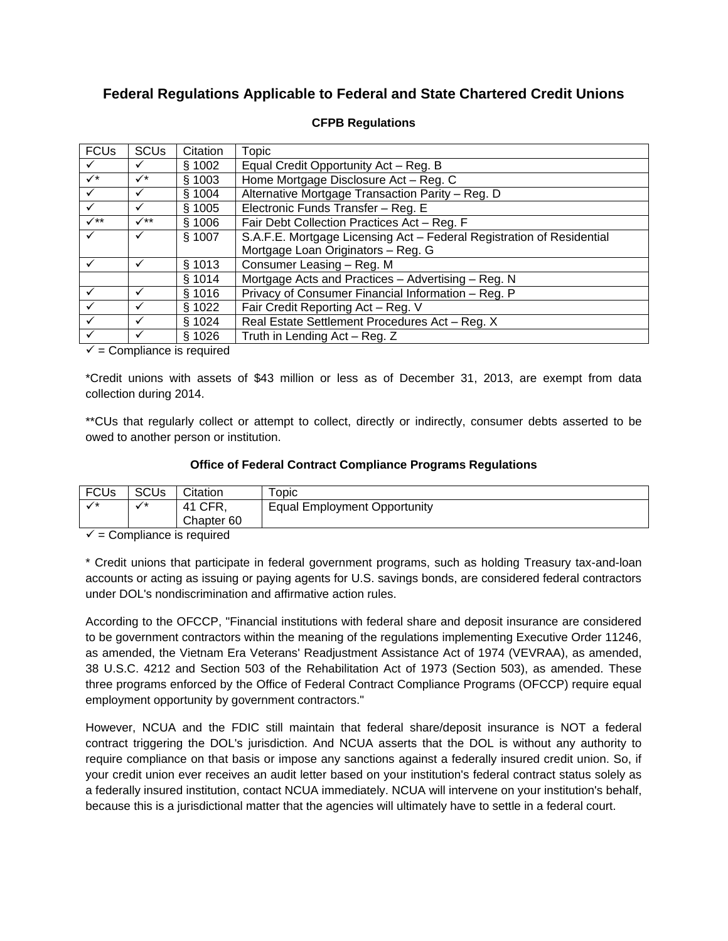# **Federal Regulations Applicable to Federal and State Chartered Credit Unions**

| <b>FCUs</b>  | <b>SCU<sub>s</sub></b> | Citation | Topic                                                                 |  |
|--------------|------------------------|----------|-----------------------------------------------------------------------|--|
|              |                        | § 1002   | Equal Credit Opportunity Act - Reg. B                                 |  |
| $\checkmark$ | $\checkmark^*$         | § 1003   | Home Mortgage Disclosure Act - Reg. C                                 |  |
|              |                        | § 1004   | Alternative Mortgage Transaction Parity - Reg. D                      |  |
|              | $\checkmark$           | § 1005   | Electronic Funds Transfer - Reg. E                                    |  |
| $\checkmark$ | $\checkmark$           | § 1006   | Fair Debt Collection Practices Act - Reg. F                           |  |
|              |                        | § 1007   | S.A.F.E. Mortgage Licensing Act - Federal Registration of Residential |  |
|              |                        |          | Mortgage Loan Originators - Reg. G                                    |  |
|              |                        | § 1013   | Consumer Leasing - Reg. M                                             |  |
|              |                        | § 1014   | Mortgage Acts and Practices - Advertising - Reg. N                    |  |
|              |                        | § 1016   | Privacy of Consumer Financial Information - Reg. P                    |  |
|              |                        | § 1022   | Fair Credit Reporting Act - Reg. V                                    |  |
|              | ✓                      | \$1024   | Real Estate Settlement Procedures Act - Reg. X                        |  |
|              |                        | \$1026   | Truth in Lending Act - Reg. Z                                         |  |

### **CFPB Regulations**

 $\checkmark$  = Compliance is required

\*Credit unions with assets of \$43 million or less as of December 31, 2013, are exempt from data collection during 2014.

\*\*CUs that regularly collect or attempt to collect, directly or indirectly, consumer debts asserted to be owed to another person or institution.

#### **Office of Federal Contract Compliance Programs Regulations**

| <b>FCUs</b> | SCU <sub>s</sub> | Citation              | opic                                |
|-------------|------------------|-----------------------|-------------------------------------|
|             | $\rightarrow$    | $^{\circ}$ CFR,<br>41 | <b>Equal Employment Opportunity</b> |
|             |                  | Chapter <sub>60</sub> |                                     |

 $\checkmark$  = Compliance is required

\* Credit unions that participate in federal government programs, such as holding Treasury tax-and-loan accounts or acting as issuing or paying agents for U.S. savings bonds, are considered federal contractors under DOL's nondiscrimination and affirmative action rules.

According to the OFCCP, "Financial institutions with federal share and deposit insurance are considered to be government contractors within the meaning of the regulations implementing Executive Order 11246, as amended, the Vietnam Era Veterans' Readjustment Assistance Act of 1974 (VEVRAA), as amended, 38 U.S.C. 4212 and Section 503 of the Rehabilitation Act of 1973 (Section 503), as amended. These three programs enforced by the Office of Federal Contract Compliance Programs (OFCCP) require equal employment opportunity by government contractors."

However, NCUA and the FDIC still maintain that federal share/deposit insurance is NOT a federal contract triggering the DOL's jurisdiction. And NCUA asserts that the DOL is without any authority to require compliance on that basis or impose any sanctions against a federally insured credit union. So, if your credit union ever receives an audit letter based on your institution's federal contract status solely as a federally insured institution, contact NCUA immediately. NCUA will intervene on your institution's behalf, because this is a jurisdictional matter that the agencies will ultimately have to settle in a federal court.